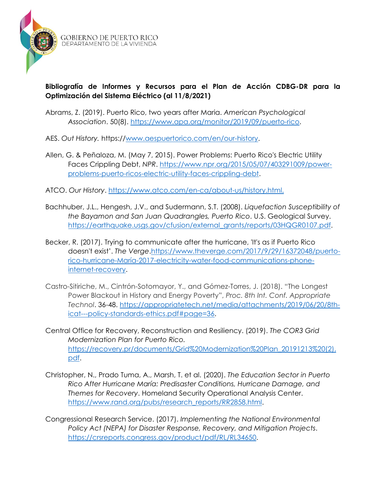

## **Bibliografía de Informes y Recursos para el Plan de Acción CDBG-DR para la Optimización del Sistema Eléctrico (al 11/8/2021)**

- Abrams, Z. (2019). Puerto Rico, two years after Maria. *American Psychological Association*. 50(8). [https://www.apa.org/monitor/2019/09/puerto-rico.](https://www.apa.org/monitor/2019/09/puerto-rico)
- AES. *Out History.* https:/[/www.aespuertorico.com/en/our-history.](http://www.aespuertorico.com/en/our-history)
- Allen, G. & Peñaloza, M. (May 7, 2015). Power Problems: Puerto Rico's Electric Utility Faces Crippling Debt, *NPR*. [https://www.npr.org/2015/05/07/403291009/power](https://www.npr.org/2015/05/07/403291009/power-problems-puerto-ricos-electric-utility-faces-crippling-debt)[problems-puerto-ricos-electric-utility-faces-crippling-debt.](https://www.npr.org/2015/05/07/403291009/power-problems-puerto-ricos-electric-utility-faces-crippling-debt)
- ATCO. *Our History*.<https://www.atco.com/en-ca/about-us/history.html.>
- Bachhuber, J.L., Hengesh, J.V., and Sudermann, S.T. (2008). *Liquefaction Susceptibility of the Bayamon and San Juan Quadrangles, Puerto Rico*. U.S. Geological Survey. [https://earthquake.usgs.gov/cfusion/external\\_grants/reports/03HQGR0107.pdf.](https://earthquake.usgs.gov/cfusion/external_grants/reports/03HQGR0107.pdf)
- Becker, R. (2017). Trying to communicate after the hurricane, 'It's as if Puerto Rico doesn't exist'. *The Verge*[.https://www.theverge.com/2017/9/29/16372048/puerto](https://www.theverge.com/2017/9/29/16372048/puerto-rico-hurricane-maria-2017-electricity-water-food-communications-phone-internet-recovery)[rico-hurricane-María-2017-electricity-water-food-communications-phone](https://www.theverge.com/2017/9/29/16372048/puerto-rico-hurricane-maria-2017-electricity-water-food-communications-phone-internet-recovery)[internet-recovery.](https://www.theverge.com/2017/9/29/16372048/puerto-rico-hurricane-maria-2017-electricity-water-food-communications-phone-internet-recovery)
- Castro-Sitiriche, M., Cintrón-Sotomayor, Y., and Gómez-Torres, J. (2018). "The Longest Power Blackout in History and Energy Poverty", *Proc. 8th Int. Conf. Appropriate Technol*. 36-48. [https://appropriatetech.net/media/attachments/2019/06/20/8th](https://appropriatetech.net/media/attachments/2019/06/20/8th-icat---policy-standards-ethics.pdf#page=36)[icat---policy-standards-ethics.pdf#page=36.](https://appropriatetech.net/media/attachments/2019/06/20/8th-icat---policy-standards-ethics.pdf#page=36)
- Central Office for Recovery, Reconstruction and Resiliency. (2019). *The COR3 Grid Modernization Plan for Puerto Rico.* [https://recovery.pr/documents/Grid%20Modernization%20Plan\\_20191213%20\(2\).](https://recovery.pr/documents/Grid%20Modernization%20Plan_20191213%20(2).pdf) [pdf.](https://recovery.pr/documents/Grid%20Modernization%20Plan_20191213%20(2).pdf)
- Christopher, N., Prado Tuma, A., Marsh, T. et al. (2020). *The Education Sector in Puerto Rico After Hurricane María: Predisaster Conditions, Hurricane Damage, and Themes for Recovery*. Homeland Security Operational Analysis Center. [https://www.rand.org/pubs/research\\_reports/RR2858.html.](https://www.rand.org/pubs/research_reports/RR2858.html)
- Congressional Research Service. (2017). *Implementing the National Environmental Policy Act (NEPA) for Disaster Response, Recovery, and Mitigation Projects*. [https://crsreports.congress.gov/product/pdf/RL/RL34650.](https://crsreports.congress.gov/product/pdf/RL/RL34650)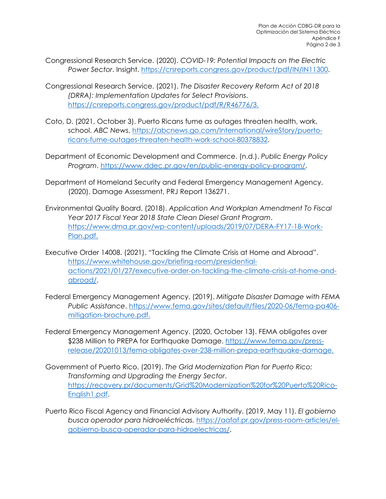- Congressional Research Service. (2020). *COVID-19: Potential Impacts on the Electric Power Sector*. Insight. [https://crsreports.congress.gov/product/pdf/IN/IN11300.](https://crsreports.congress.gov/product/pdf/IN/IN11300)
- Congressional Research Service. (2021). *The Disaster Recovery Reform Act of 2018 (DRRA): Implementation Updates for Select Provisions*. [https://crsreports.congress.gov/product/pdf/R/R46776/3.](https://crsreports.congress.gov/product/pdf/R/R46776/3)
- Coto, D. (2021, October 3). Puerto Ricans fume as outages threaten health, work, school. *ABC News*, [https://abcnews.go.com/International/wireStory/puerto](https://abcnews.go.com/International/wireStory/puerto-ricans-fume-outages-threaten-health-work-school-80378832)[ricans-fume-outages-threaten-health-work-school-80378832.](https://abcnews.go.com/International/wireStory/puerto-ricans-fume-outages-threaten-health-work-school-80378832)
- Department of Economic Development and Commerce. (n.d.). *Public Energy Policy Program*. [https://www.ddec.pr.gov/en/public-energy-policy-program/.](https://www.ddec.pr.gov/en/public-energy-policy-program/)
- Department of Homeland Security and Federal Emergency Management Agency. (2020). Damage Assessment, PRJ Report 136271.
- Environmental Quality Board. (2018). *Application And Workplan Amendment To Fiscal Year 2017 Fiscal Year 2018 State Clean Diesel Grant Program*. [https://www.drna.pr.gov/wp-content/uploads/2019/07/DERA-FY17-18-Work-](https://www.drna.pr.gov/wp-content/uploads/2019/07/DERA-FY17-18-Work-Plan.pdf)[Plan.pdf.](https://www.drna.pr.gov/wp-content/uploads/2019/07/DERA-FY17-18-Work-Plan.pdf)
- Executive Order 14008. (2021). "Tackling the Climate Crisis at Home and Abroad". [https://www.whitehouse.gov/briefing-room/presidential](https://www.whitehouse.gov/briefing-room/presidential-actions/2021/01/27/executive-order-on-tackling-the-climate-crisis-at-home-and-abroad/)[actions/2021/01/27/executive-order-on-tackling-the-climate-crisis-at-home-and](https://www.whitehouse.gov/briefing-room/presidential-actions/2021/01/27/executive-order-on-tackling-the-climate-crisis-at-home-and-abroad/)[abroad/.](https://www.whitehouse.gov/briefing-room/presidential-actions/2021/01/27/executive-order-on-tackling-the-climate-crisis-at-home-and-abroad/)
- Federal Emergency Management Agency. (2019). *Mitigate Disaster Damage with FEMA Public Assistance*. [https://www.fema.gov/sites/default/files/2020-06/fema-pa406](https://www.fema.gov/sites/default/files/2020-06/fema-pa406-mitigation-brochure.pdf) [mitigation-brochure.pdf.](https://www.fema.gov/sites/default/files/2020-06/fema-pa406-mitigation-brochure.pdf)
- Federal Emergency Management Agency. (2020, October 13). FEMA obligates over \$238 Million to PREPA for Earthquake Damage. [https://www.fema.gov/press](https://www.fema.gov/press-release/20201013/fema-obligates-over-238-million-prepa-earthquake-damage)[release/20201013/fema-obligates-over-238-million-prepa-earthquake-damage.](https://www.fema.gov/press-release/20201013/fema-obligates-over-238-million-prepa-earthquake-damage)
- Government of Puerto Rico. (2019). *The Grid Modernization Plan for Puerto Rico: Transforming and Upgrading the Energy Sector*. [https://recovery.pr/documents/Grid%20Modernization%20for%20Puerto%20Rico-](https://recovery.pr/documents/Grid%20Modernization%20for%20Puerto%20Rico-English1.pdf)[English1.pdf.](https://recovery.pr/documents/Grid%20Modernization%20for%20Puerto%20Rico-English1.pdf)
- Puerto Rico Fiscal Agency and Financial Advisory Authority. (2019, May 11). *El gobierno busca operador para hidroeléctricas.* [https://aafaf.pr.gov/press-room-articles/el](https://aafaf.pr.gov/press-room-articles/el-gobierno-busca-operador-para-hidroelectricas/)[gobierno-busca-operador-para-hidroelectricas/.](https://aafaf.pr.gov/press-room-articles/el-gobierno-busca-operador-para-hidroelectricas/)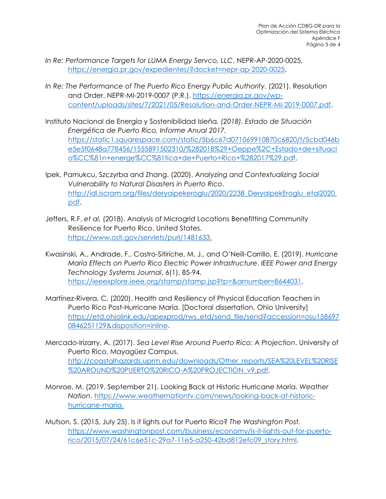- *In Re: Performance Targets for LUMA Energy Servco, LLC*, NEPR-AP-2020-0025. [https://energia.pr.gov/expedientes/?docket=nepr-ap-2020-0025.](https://energia.pr.gov/expedientes/?docket=nepr-ap-2020-0025)
- *In Re: The Performance of The Puerto Rico Energy Public Authority*. (2021). Resolution and Order. NEPR-MI-2019-0007 (P.R.). [https://energia.pr.gov/wp](https://energia.pr.gov/wp-content/uploads/sites/7/2021/05/Resolution-and-Order-NEPR-MI-2019-0007.pdf)[content/uploads/sites/7/2021/05/Resolution-and-Order-NEPR-MI-2019-0007.pdf.](https://energia.pr.gov/wp-content/uploads/sites/7/2021/05/Resolution-and-Order-NEPR-MI-2019-0007.pdf)
- Instituto Nacional de Energía y Sostenibilidad Isleña*. (2018). Estado de Situación Energética de Puerto Rico, Informe Anual 2017.*  [https://static1.squarespace.com/static/5b6c67d071069910870c6820/t/5cbd046b](https://static1.squarespace.com/static/5b6c67d071069910870c6820/t/5cbd046be5e5f0648a778456/1555891502310/%282018%29+Oeppe%2C+Estado+de+situacio%CC%81n+energe%CC%81tica+de+Puerto+Rico+%282017%29.pdf) [e5e5f0648a778456/1555891502310/%282018%29+Oeppe%2C+Estado+de+situaci](https://static1.squarespace.com/static/5b6c67d071069910870c6820/t/5cbd046be5e5f0648a778456/1555891502310/%282018%29+Oeppe%2C+Estado+de+situacio%CC%81n+energe%CC%81tica+de+Puerto+Rico+%282017%29.pdf) [o%CC%81n+energe%CC%81tica+de+Puerto+Rico+%282017%29.pdf.](https://static1.squarespace.com/static/5b6c67d071069910870c6820/t/5cbd046be5e5f0648a778456/1555891502310/%282018%29+Oeppe%2C+Estado+de+situacio%CC%81n+energe%CC%81tica+de+Puerto+Rico+%282017%29.pdf)
- Ipek, Pamukcu, Szczyrba and Zhang. (2020). *Analyzing and Contextualizing Social Vulnerability to Natural Disasters in Puerto Rico*. [http://idl.iscram.org/files/deryaipekeroglu/2020/2238\\_DeryaIpekEroglu\\_etal2020.](http://idl.iscram.org/files/deryaipekeroglu/2020/2238_DeryaIpekEroglu_etal2020.pdf) [pdf.](http://idl.iscram.org/files/deryaipekeroglu/2020/2238_DeryaIpekEroglu_etal2020.pdf)
- Jeffers, R.F. *et al.* (2018). Analysis of Microgrid Locations Benefitting Community Resilience for Puerto Rico. United States. [https://www.osti.gov/servlets/purl/1481633.](https://www.osti.gov/servlets/purl/1481633)
- Kwasinski, A., Andrade, F., Castro-Sitiriche, M. J., and O'Neill-Carrillo, E. (2019). *Hurricane María Effects on Puerto Rico Electric Power Infrastructure*. *IEEE Power and Energy Technology Systems Journal*, 6(1), 85-94. [https://ieeexplore.ieee.org/stamp/stamp.jsp?tp=&arnumber=8644031.](https://ieeexplore.ieee.org/stamp/stamp.jsp?tp=&arnumber=8644031)
- Martínez-Rivera, C. (2020). Health and Resiliency of Physical Education Teachers in Puerto Rico Post-Hurricane María. [Doctoral dissertation, Ohio University] [https://etd.ohiolink.edu/apexprod/rws\\_etd/send\\_file/send?accession=osu158697](https://etd.ohiolink.edu/apexprod/rws_etd/send_file/send?accession=osu1586970846251129&disposition=inline) [0846251129&disposition=inline.](https://etd.ohiolink.edu/apexprod/rws_etd/send_file/send?accession=osu1586970846251129&disposition=inline)
- Mercado-Irizarry, A. (2017). *Sea Level Rise Around Puerto Rico: A Projection*. University of Puerto Rico, Mayagüez Campus. [http://coastalhazards.uprm.edu/downloads/Other\\_reports/SEA%20LEVEL%20RISE](http://coastalhazards.uprm.edu/downloads/Other_reports/SEA%20LEVEL%20RISE%20AROUND%20PUERTO%20RICO-A%20PROJECTION_v9.pdf) [%20AROUND%20PUERTO%20RICO-A%20PROJECTION\\_v9.pdf.](http://coastalhazards.uprm.edu/downloads/Other_reports/SEA%20LEVEL%20RISE%20AROUND%20PUERTO%20RICO-A%20PROJECTION_v9.pdf)
- Monroe, M. (2019, September 21). Looking Back at Historic Hurricane María. *Weather Nation*. [https://www.weathernationtv.com/news/looking-back-at-historic](https://www.weathernationtv.com/news/looking-back-at-historic-hurricane-maria)[hurricane-maria.](https://www.weathernationtv.com/news/looking-back-at-historic-hurricane-maria)
- Mufson, S. (2015, July 25). Is it lights out for Puerto Rico? *The Washington Post.* [https://www.washingtonpost.com/business/economy/is-it-lights-out-for-puerto](https://www.washingtonpost.com/business/economy/is-it-lights-out-for-puerto-rico/2015/07/24/61c6e51c-29a7-11e5-a250-42bd812efc09_story.html)[rico/2015/07/24/61c6e51c-29a7-11e5-a250-42bd812efc09\\_story.html.](https://www.washingtonpost.com/business/economy/is-it-lights-out-for-puerto-rico/2015/07/24/61c6e51c-29a7-11e5-a250-42bd812efc09_story.html)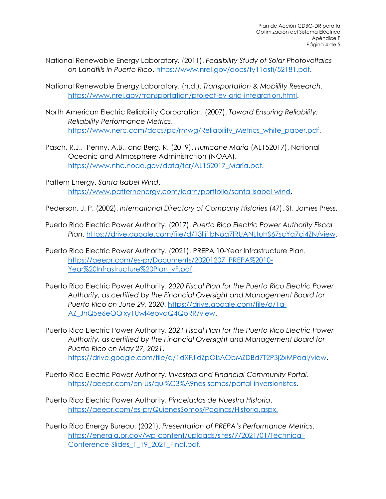- National Renewable Energy Laboratory. (2011). *Feasibility Study of Solar Photovoltaics on Landfills in Puerto Rico*. [https://www.nrel.gov/docs/fy11osti/52181.pdf.](https://www.nrel.gov/docs/fy11osti/52181.pdf)
- National Renewable Energy Laboratory. (n.d.). *Transportation & Mobiility Research.* [https://www.nrel.gov/transportation/project-ev-grid-integration.html.](https://www.nrel.gov/transportation/project-ev-grid-integration.html)
- North American Electric Reliability Corporation. (2007). *Toward Ensuring Reliability: Reliability Performance Metrics*. [https://www.nerc.com/docs/pc/rmwg/Reliability\\_Metrics\\_white\\_paper.pdf.](https://www.nerc.com/docs/pc/rmwg/Reliability_Metrics_white_paper.pdf)
- Pasch, R.J., Penny. A.B., and Berg, R. (2019). *Hurricane Maria* (AL152017). National Oceanic and Atmosphere Administration (NOAA). [https://www.nhc.noaa.gov/data/tcr/AL152017\\_María.pdf.](https://www.nhc.noaa.gov/data/tcr/AL152017_Maria.pdf)
- Pattern Energy. *Santa Isabel Wind*. [https://www.patternenergy.com/learn/portfolio/santa-isabel-wind.](https://www.patternenergy.com/learn/portfolio/santa-isabel-wind)

Pederson, J. P. (2002). *International Directory of Company Histories* (47). St. James Press.

- Puerto Rico Electric Power Authority. (2017). *Puerto Rico Electric Power Authority Fiscal Plan*. [https://drive.google.com/file/d/13lij1bNoa7lRUANLtuHS67scYa7cj4ZN/view.](https://drive.google.com/file/d/13lij1bNoa7lRUANLtuHS67scYa7cj4ZN/view)
- Puerto Rico Electric Power Authority. (2021). PREPA 10-Year Infrastructure Plan*.* [https://aeepr.com/es-pr/Documents/20201207\\_PREPA%2010-](https://aeepr.com/es-pr/Documents/20201207_PREPA%2010-Year%20Infrastructure%20Plan_vF.pdf) [Year%20Infrastructure%20Plan\\_vF.pdf.](https://aeepr.com/es-pr/Documents/20201207_PREPA%2010-Year%20Infrastructure%20Plan_vF.pdf)
- Puerto Rico Electric Power Authority. *2020 Fiscal Plan for the Puerto Rico Electric Power Authority, as certified by the Financial Oversight and Management Board for Puerto Rico on June 29, 2020*. [https://drive.google.com/file/d/1a-](https://drive.google.com/file/d/1a-AZ_JhQ5e6eQQlxy1Uwl4eovaQ4QoRR/view)[AZ\\_JhQ5e6eQQlxy1Uwl4eovaQ4QoRR/view.](https://drive.google.com/file/d/1a-AZ_JhQ5e6eQQlxy1Uwl4eovaQ4QoRR/view)
- Puerto Rico Electric Power Authority. *2021 Fiscal Plan for the Puerto Rico Electric Power Authority, as certified by the Financial Oversight and Management Board for Puerto Rico on May 27, 2021*. [https://drive.google.com/file/d/1dXFJldZpOIsAObMZDBd7T2P3j2xMPaal/view.](https://drive.google.com/file/d/1dXFJldZpOIsAObMZDBd7T2P3j2xMPaal/view)
- Puerto Rico Electric Power Authority. *Investors and Financial Community Portal*. [https://aeepr.com/en-us/qui%C3%A9nes-somos/portal-inversionistas.](https://aeepr.com/en-us/qui%C3%A9nes-somos/portal-inversionistas)
- Puerto Rico Electric Power Authority. *Pinceladas de Nuestra Historia*. [https://aeepr.com/es-pr/QuienesSomos/Paginas/Historia.aspx.](https://aeepr.com/es-pr/QuienesSomos/Paginas/Historia.aspx)
- Puerto Rico Energy Bureau. (2021). *Presentation of PREPA's Performance Metrics*. [https://energia.pr.gov/wp-content/uploads/sites/7/2021/01/Technical-](https://energia.pr.gov/wp-content/uploads/sites/7/2021/01/Technical-Conference-Slides_1_19_2021_Final.pdf)Conference-Slides 1 19 2021 Final.pdf.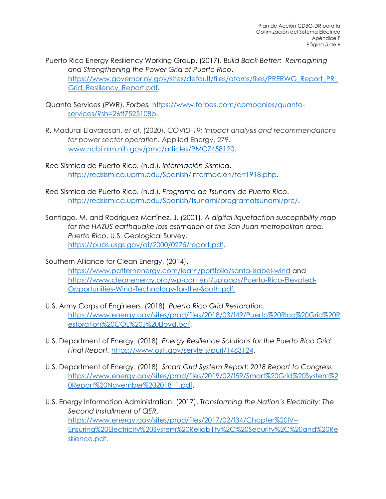Puerto Rico Energy Resiliency Working Group. (2017). *Build Back Better: Reimagining and Strengthening the Power Grid of Puerto Rico*. [https://www.governor.ny.gov/sites/default/files/atoms/files/PRERWG\\_Report\\_PR\\_](https://www.governor.ny.gov/sites/default/files/atoms/files/PRERWG_Report_PR_Grid_Resiliency_Report.pdf) [Grid\\_Resiliency\\_Report.pdf.](https://www.governor.ny.gov/sites/default/files/atoms/files/PRERWG_Report_PR_Grid_Resiliency_Report.pdf)

- Quanta Services (PWR). *Forbes.* [https://www.forbes.com/companies/quanta](https://www.forbes.com/companies/quanta-services/?sh=26ff7525108b)[services/?sh=26ff7525108b.](https://www.forbes.com/companies/quanta-services/?sh=26ff7525108b)
- R. Madurai Elavarasan, *et al*. (2020). *COVID-19: Impact analysis and recommendations for power sector operation.* Applied Energy. 279. [www.ncbi.nlm.nih.gov/pmc/articles/PMC7458120.](http://www.ncbi.nlm.nih.gov/pmc/articles/PMC7458120)
- Red Sísmica de Puerto Rico. (n.d.). *Información Sísmica*. [http://redsismica.uprm.edu/Spanish/informacion/terr1918.php.](http://redsismica.uprm.edu/Spanish/informacion/terr1918.php)
- Red Sísmica de Puerto Rico. (n.d.). *Programa de Tsunami de Puerto Rico*. [http://redsismica.uprm.edu/Spanish/tsunami/programatsunami/prc/.](http://redsismica.uprm.edu/Spanish/tsunami/programatsunami/prc/)
- Santiago, M. and Rodríguez-Martínez, J. (2001). *A digital liquefaction susceptibility map for the HAZUS earthquake loss estimation of the San Juan metropolitan area, Puerto Rico*. U.S. Geological Survey. [https://pubs.usgs.gov/of/2000/0275/report.pdf.](https://pubs.usgs.gov/of/2000/0275/report.pdf)
- Southern Alliance for Clean Energy. (2014). <https://www.patternenergy.com/learn/portfolio/santa-isabel-wind> and [https://www.cleanenergy.org/wp-content/uploads/Puerto-Rico-Elevated-](https://www.cleanenergy.org/wp-content/uploads/Puerto-Rico-Elevated-Opportunities-Wind-Technology-for-the-South.pdf)[Opportunities-Wind-Technology-for-the-South.pdf.](https://www.cleanenergy.org/wp-content/uploads/Puerto-Rico-Elevated-Opportunities-Wind-Technology-for-the-South.pdf)
- U.S. Army Corps of Engineers. (2018). *Puerto Rico Grid Restoration.*  [https://www.energy.gov/sites/prod/files/2018/03/f49/Puerto%20Rico%20Grid%20R](https://www.energy.gov/sites/prod/files/2018/03/f49/Puerto%20Rico%20Grid%20Restoration%20COL%20J%20Lloyd.pdf) [estoration%20COL%20J%20Lloyd.pdf.](https://www.energy.gov/sites/prod/files/2018/03/f49/Puerto%20Rico%20Grid%20Restoration%20COL%20J%20Lloyd.pdf)
- U.S. Department of Energy. (2018). *Energy Resilience Solutions for the Puerto Rico Grid Final Report.* [https://www.osti.gov/servlets/purl/1463124.](https://www.osti.gov/servlets/purl/1463124)
- U.S. Department of Energy. (2018). *Smart Grid System Report: 2018 Report to Congress*. [https://www.energy.gov/sites/prod/files/2019/02/f59/Smart%20Grid%20System%2](https://www.energy.gov/sites/prod/files/2019/02/f59/Smart%20Grid%20System%20Report%20November%202018_1.pdf) [0Report%20November%202018\\_1.pdf.](https://www.energy.gov/sites/prod/files/2019/02/f59/Smart%20Grid%20System%20Report%20November%202018_1.pdf)
- U.S. Energy Information Administration. (2017). *Transforming the Nation's Electricity: The Second Installment of QER*. [https://www.energy.gov/sites/prod/files/2017/02/f34/Chapter%20IV--](https://www.energy.gov/sites/prod/files/2017/02/f34/Chapter%20IV--Ensuring%20Electricity%20System%20Reliability%2C%20Security%2C%20and%20Resilience.pdf) [Ensuring%20Electricity%20System%20Reliability%2C%20Security%2C%20and%20Re](https://www.energy.gov/sites/prod/files/2017/02/f34/Chapter%20IV--Ensuring%20Electricity%20System%20Reliability%2C%20Security%2C%20and%20Resilience.pdf) [silience.pdf.](https://www.energy.gov/sites/prod/files/2017/02/f34/Chapter%20IV--Ensuring%20Electricity%20System%20Reliability%2C%20Security%2C%20and%20Resilience.pdf)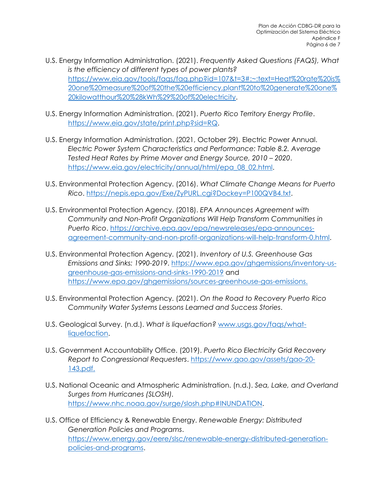- U.S. Energy Information Administration. (2021). *Frequently Asked Questions (FAQS), What is the efficiency of different types of power plants?* [https://www.eia.gov/tools/faqs/faq.php?id=107&t=3#:~:text=Heat%20rate%20is%](https://www.eia.gov/tools/faqs/faq.php?id=107&t=3#:%7E:text=Heat%20rate%20is%20one%20measure%20of%20the%20efficiency,plant%20to%20generate%20one%20kilowatthour%20%28kWh%29%20of%20electricity) [20one%20measure%20of%20the%20efficiency,plant%20to%20generate%20one%](https://www.eia.gov/tools/faqs/faq.php?id=107&t=3#:%7E:text=Heat%20rate%20is%20one%20measure%20of%20the%20efficiency,plant%20to%20generate%20one%20kilowatthour%20%28kWh%29%20of%20electricity) [20kilowatthour%20%28kWh%29%20of%20electricity.](https://www.eia.gov/tools/faqs/faq.php?id=107&t=3#:%7E:text=Heat%20rate%20is%20one%20measure%20of%20the%20efficiency,plant%20to%20generate%20one%20kilowatthour%20%28kWh%29%20of%20electricity)
- U.S. Energy Information Administration. (2021). *Puerto Rico Territory Energy Profile*. [https://www.eia.gov/state/print.php?sid=RQ.](https://www.eia.gov/state/print.php?sid=RQ)
- U.S. Energy Information Administration. (2021, October 29). Electric Power Annual. *Electric Power System Characteristics and Performance: Table 8.2. Average Tested Heat Rates by Prime Mover and Energy Source, 2010 – 2020*. [https://www.eia.gov/electricity/annual/html/epa\\_08\\_02.html.](https://www.eia.gov/electricity/annual/html/epa_08_02.html)
- U.S. Environmental Protection Agency. (2016). *What Climate Change Means for Puerto Rico*. [https://nepis.epa.gov/Exe/ZyPURL.cgi?Dockey=P100QVB4.txt.](https://nepis.epa.gov/Exe/ZyPURL.cgi?Dockey=P100QVB4.txt)
- U.S. Environmental Protection Agency. (2018). *EPA Announces Agreement with Community and Non-Profit Organizations Will Help Transform Communities in Puerto Rico*. [https://archive.epa.gov/epa/newsreleases/epa-announces](https://archive.epa.gov/epa/newsreleases/epa-announces-agreement-community-and-non-profit-organizations-will-help-transform-0.html)[agreement-community-and-non-profit-organizations-will-help-transform-0.html.](https://archive.epa.gov/epa/newsreleases/epa-announces-agreement-community-and-non-profit-organizations-will-help-transform-0.html)
- U.S. Environmental Protection Agency. (2021). *Inventory of U.S. Greenhouse Gas Emissions and Sinks: 1990-2019*. [https://www.epa.gov/ghgemissions/inventory-us](https://www.epa.gov/ghgemissions/inventory-us-greenhouse-gas-emissions-and-sinks-1990-2019)[greenhouse-gas-emissions-and-sinks-1990-2019](https://www.epa.gov/ghgemissions/inventory-us-greenhouse-gas-emissions-and-sinks-1990-2019) and [https://www.epa.gov/ghgemissions/sources-greenhouse-gas-emissions.](https://www.epa.gov/ghgemissions/sources-greenhouse-gas-emissions)
- U.S. Environmental Protection Agency. (2021). *On the Road to Recovery Puerto Rico Community Water Systems Lessons Learned and Success Stories*.
- U.S. Geological Survey. (n.d.). *What is liquefaction?* [www.usgs.gov/faqs/what](http://www.usgs.gov/faqs/what-liquefaction)[liquefaction.](http://www.usgs.gov/faqs/what-liquefaction)
- U.S. Government Accountability Office. (2019). *Puerto Rico Electricity Grid Recovery Report to Congressional Requesters*. [https://www.gao.gov/assets/gao-20-](https://www.gao.gov/assets/gao-20-143.pdf) [143.pdf.](https://www.gao.gov/assets/gao-20-143.pdf)
- U.S. National Oceanic and Atmospheric Administration. (n.d.). *Sea, Lake, and Overland Surges from Hurricanes (SLOSH).*  [https://www.nhc.noaa.gov/surge/slosh.php#INUNDATION.](https://www.nhc.noaa.gov/surge/slosh.php#INUNDATION)
- U.S. Office of Efficiency & Renewable Energy. *Renewable Energy: Distributed Generation Policies and Programs*. [https://www.energy.gov/eere/slsc/renewable-energy-distributed-generation](https://www.energy.gov/eere/slsc/renewable-energy-distributed-generation-policies-and-programs)[policies-and-programs.](https://www.energy.gov/eere/slsc/renewable-energy-distributed-generation-policies-and-programs)